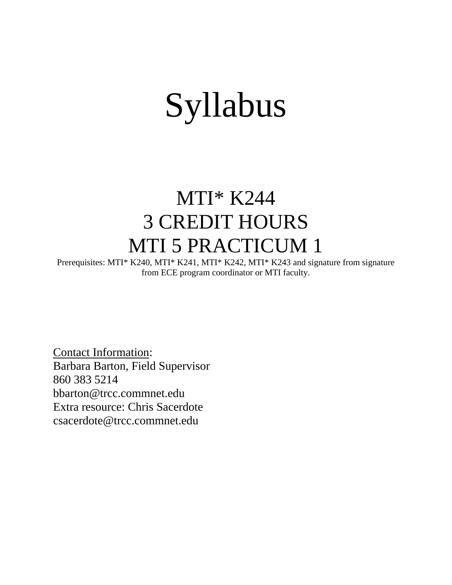# Syllabus

# MTI\* K244 3 CREDIT HOURS MTI 5 PRACTICUM 1

Prerequisites: MTI\* K240, MTI\* K241, MTI\* K242, MTI\* K243 and signature from signature from ECE program coordinator or MTI faculty.

Contact Information: Barbara Barton, Field Supervisor 860 383 5214 [bbarton@trcc.commnet.edu](mailto:bbarton@trcc.commnet.edu) Extra resource: Chris Sacerdote [csacerdote@trcc.commnet.edu](mailto:csacerdote@trcc.commnet.edu)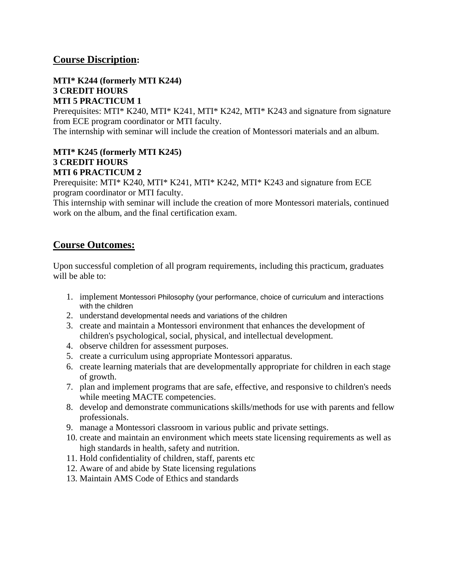# **Course Discription:**

#### **MTI\* K244 (formerly MTI K244) 3 CREDIT HOURS MTI 5 PRACTICUM 1**

Prerequisites: MTI\* K240, MTI\* K241, MTI\* K242, MTI\* K243 and signature from signature from ECE program coordinator or MTI faculty.

The internship with seminar will include the creation of Montessori materials and an album.

# **MTI\* K245 (formerly MTI K245) 3 CREDIT HOURS MTI 6 PRACTICUM 2**

Prerequisite: MTI\* K240, MTI\* K241, MTI\* K242, MTI\* K243 and signature from ECE program coordinator or MTI faculty.

This internship with seminar will include the creation of more Montessori materials, continued work on the album, and the final certification exam.

# **Course Outcomes:**

Upon successful completion of all program requirements, including this practicum, graduates will be able to:

- 1. implement Montessori Philosophy (your performance, choice of curriculum and interactions with the children
- 2. understand developmental needs and variations of the children
- 3. create and maintain a Montessori environment that enhances the development of children's psychological, social, physical, and intellectual development.
- 4. observe children for assessment purposes.
- 5. create a curriculum using appropriate Montessori apparatus.
- 6. create learning materials that are developmentally appropriate for children in each stage of growth.
- 7. plan and implement programs that are safe, effective, and responsive to children's needs while meeting MACTE competencies.
- 8. develop and demonstrate communications skills/methods for use with parents and fellow professionals.
- 9. manage a Montessori classroom in various public and private settings.
- 10. create and maintain an environment which meets state licensing requirements as well as high standards in health, safety and nutrition.
- 11. Hold confidentiality of children, staff, parents etc
- 12. Aware of and abide by State licensing regulations
- 13. Maintain AMS Code of Ethics and standards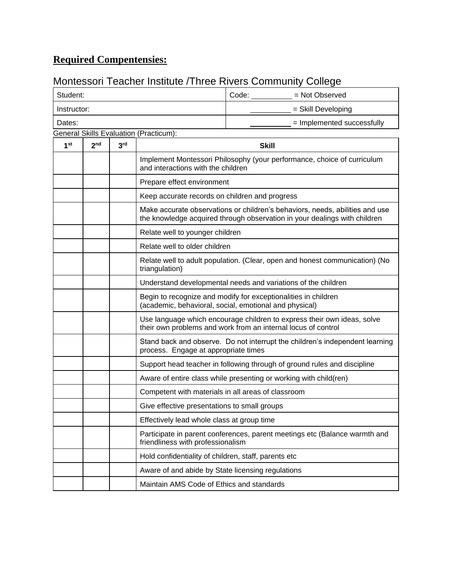# **Required Compentensies:**

# Montessori Teacher Institute /Three Rivers Community College

| Student:        | Code:<br>= Not Observed |                 |                                                                                                                                                           |                                                                                                                      |  |  |
|-----------------|-------------------------|-----------------|-----------------------------------------------------------------------------------------------------------------------------------------------------------|----------------------------------------------------------------------------------------------------------------------|--|--|
| Instructor:     |                         |                 |                                                                                                                                                           | = Skill Developing                                                                                                   |  |  |
| Dates:          |                         |                 |                                                                                                                                                           | = Implemented successfully                                                                                           |  |  |
|                 |                         |                 | <b>General Skills Evaluation (Practicum):</b>                                                                                                             |                                                                                                                      |  |  |
| 1 <sup>st</sup> | 2 <sub>nd</sub>         | 3 <sup>rd</sup> | <b>Skill</b>                                                                                                                                              |                                                                                                                      |  |  |
|                 |                         |                 | and interactions with the children                                                                                                                        | Implement Montessori Philosophy (your performance, choice of curriculum                                              |  |  |
|                 |                         |                 | Prepare effect environment                                                                                                                                |                                                                                                                      |  |  |
|                 |                         |                 | Keep accurate records on children and progress                                                                                                            |                                                                                                                      |  |  |
|                 |                         |                 | Make accurate observations or children's behaviors, needs, abilities and use<br>the knowledge acquired through observation in your dealings with children |                                                                                                                      |  |  |
|                 |                         |                 | Relate well to younger children                                                                                                                           |                                                                                                                      |  |  |
|                 |                         |                 | Relate well to older children                                                                                                                             |                                                                                                                      |  |  |
|                 |                         |                 | Relate well to adult population. (Clear, open and honest communication) (No<br>triangulation)                                                             |                                                                                                                      |  |  |
|                 |                         |                 | Understand developmental needs and variations of the children                                                                                             |                                                                                                                      |  |  |
|                 |                         |                 | Begin to recognize and modify for exceptionalities in children<br>(academic, behavioral, social, emotional and physical)                                  |                                                                                                                      |  |  |
|                 |                         |                 | Use language which encourage children to express their own ideas, solve<br>their own problems and work from an internal locus of control                  |                                                                                                                      |  |  |
|                 |                         |                 |                                                                                                                                                           | Stand back and observe. Do not interrupt the children's independent learning<br>process. Engage at appropriate times |  |  |
|                 |                         |                 |                                                                                                                                                           | Support head teacher in following through of ground rules and discipline                                             |  |  |
|                 |                         |                 |                                                                                                                                                           | Aware of entire class while presenting or working with child(ren)                                                    |  |  |
|                 |                         |                 |                                                                                                                                                           | Competent with materials in all areas of classroom                                                                   |  |  |
|                 |                         |                 | Give effective presentations to small groups                                                                                                              |                                                                                                                      |  |  |
|                 |                         |                 | Effectively lead whole class at group time                                                                                                                |                                                                                                                      |  |  |
|                 |                         |                 | friendliness with professionalism                                                                                                                         | Participate in parent conferences, parent meetings etc (Balance warmth and                                           |  |  |
|                 |                         |                 | Hold confidentiality of children, staff, parents etc                                                                                                      |                                                                                                                      |  |  |
|                 |                         |                 | Aware of and abide by State licensing regulations                                                                                                         |                                                                                                                      |  |  |
|                 |                         |                 | Maintain AMS Code of Ethics and standards                                                                                                                 |                                                                                                                      |  |  |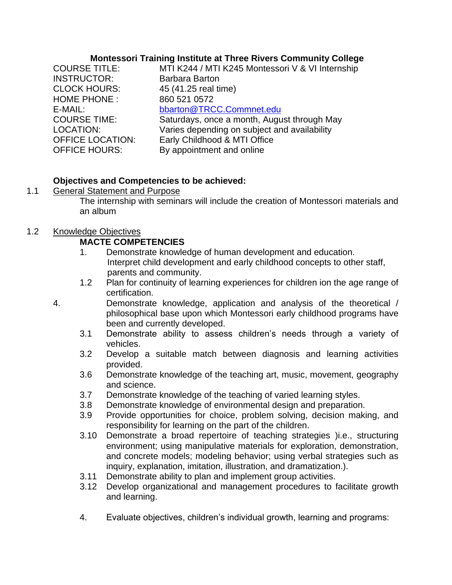#### **Montessori Training Institute at Three Rivers Community College**

| <b>COURSE TITLE:</b><br><b>INSTRUCTOR:</b> | MTI K244 / MTI K245 Montessori V & VI Internship<br><b>Barbara Barton</b> |
|--------------------------------------------|---------------------------------------------------------------------------|
| <b>CLOCK HOURS:</b>                        | 45 (41.25 real time)                                                      |
| <b>HOME PHONE:</b>                         | 860 521 0572                                                              |
| E-MAIL:                                    | bbarton@TRCC.Commnet.edu                                                  |
| <b>COURSE TIME:</b>                        | Saturdays, once a month, August through May                               |
| LOCATION:                                  | Varies depending on subject and availability                              |
| <b>OFFICE LOCATION:</b>                    | Early Childhood & MTI Office                                              |
| <b>OFFICE HOURS:</b>                       | By appointment and online                                                 |
|                                            |                                                                           |

# **Objectives and Competencies to be achieved:**

# 1.1 General Statement and Purpose

The internship with seminars will include the creation of Montessori materials and an album

# 1.2 Knowledge Objectives

# **MACTE COMPETENCIES**

- 1. Demonstrate knowledge of human development and education. Interpret child development and early childhood concepts to other staff, parents and community.
- 1.2 Plan for continuity of learning experiences for children ion the age range of certification.
- 4. Demonstrate knowledge, application and analysis of the theoretical / philosophical base upon which Montessori early childhood programs have been and currently developed.
	- 3.1 Demonstrate ability to assess children's needs through a variety of vehicles.
	- 3.2 Develop a suitable match between diagnosis and learning activities provided.
	- 3.6 Demonstrate knowledge of the teaching art, music, movement, geography and science.
	- 3.7 Demonstrate knowledge of the teaching of varied learning styles.
	- 3.8 Demonstrate knowledge of environmental design and preparation.
	- 3.9 Provide opportunities for choice, problem solving, decision making, and responsibility for learning on the part of the children.
	- 3.10 Demonstrate a broad repertoire of teaching strategies )i.e., structuring environment; using manipulative materials for exploration, demonstration, and concrete models; modeling behavior; using verbal strategies such as inquiry, explanation, imitation, illustration, and dramatization.).
	- 3.11 Demonstrate ability to plan and implement group activities.
	- 3.12 Develop organizational and management procedures to facilitate growth and learning.
	- 4. Evaluate objectives, children's individual growth, learning and programs: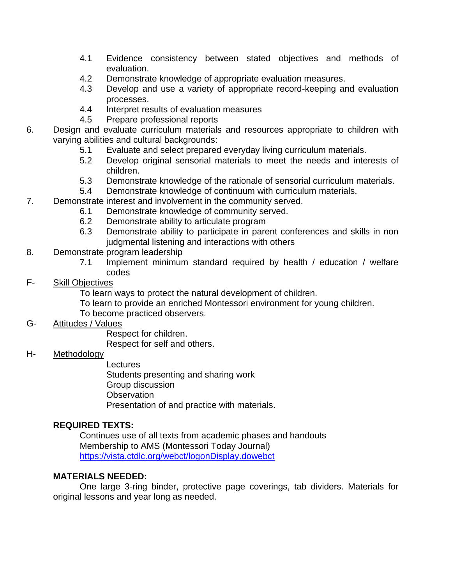- 4.1 Evidence consistency between stated objectives and methods of evaluation.
- 4.2 Demonstrate knowledge of appropriate evaluation measures.
- 4.3 Develop and use a variety of appropriate record-keeping and evaluation processes.
- 4.4 Interpret results of evaluation measures
- 4.5 Prepare professional reports
- 6. Design and evaluate curriculum materials and resources appropriate to children with varying abilities and cultural backgrounds:
	- 5.1 Evaluate and select prepared everyday living curriculum materials.
	- 5.2 Develop original sensorial materials to meet the needs and interests of children.
	- 5.3 Demonstrate knowledge of the rationale of sensorial curriculum materials.
	- 5.4 Demonstrate knowledge of continuum with curriculum materials.
- 7. Demonstrate interest and involvement in the community served.
	- 6.1 Demonstrate knowledge of community served.
	- 6.2 Demonstrate ability to articulate program
	- 6.3 Demonstrate ability to participate in parent conferences and skills in non judgmental listening and interactions with others
- 8. Demonstrate program leadership
	- 7.1 Implement minimum standard required by health / education / welfare codes

# F- Skill Objectives

- To learn ways to protect the natural development of children.
- To learn to provide an enriched Montessori environment for young children.
- To become practiced observers.

# G- Attitudes / Values

Respect for children.

Respect for self and others.

# H- Methodology

**Lectures** 

Students presenting and sharing work

- Group discussion
- **Observation**

Presentation of and practice with materials.

# **REQUIRED TEXTS:**

Continues use of all texts from academic phases and handouts Membership to AMS (Montessori Today Journal) <https://vista.ctdlc.org/webct/logonDisplay.dowebct>

# **MATERIALS NEEDED:**

One large 3-ring binder, protective page coverings, tab dividers. Materials for original lessons and year long as needed.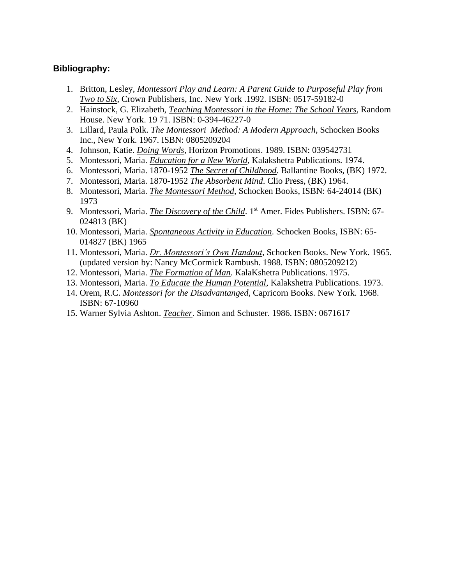#### **Bibliography:**

- 1. Britton, Lesley, *Montessori Play and Learn: A Parent Guide to Purposeful Play from Two to Six*, Crown Publishers, Inc. New York .1992. ISBN: 0517-59182-0
- 2. Hainstock, G. Elizabeth, *Teaching Montessori in the Home: The School Years*, Random House. New York. 19 71. ISBN: 0-394-46227-0
- 3. Lillard, Paula Polk. *The Montessori Method: A Modern Approach*, Schocken Books Inc., New York. 1967. ISBN: 0805209204
- 4. Johnson, Katie. *Doing Words*, Horizon Promotions. 1989. ISBN: 039542731
- 5. Montessori, Maria. *Education for a New World*, Kalakshetra Publications. 1974.
- 6. Montessori, Maria. 1870-1952 *The Secret of Childhood*. Ballantine Books, (BK) 1972.
- 7. Montessori, Maria. 1870-1952 *The Absorbent Mind*. Clio Press, (BK) 1964.
- 8. Montessori, Maria. *The Montessori Method*, Schocken Books, ISBN: 64-24014 (BK) 1973
- 9. Montessori, Maria. *The Discovery of the Child*. 1<sup>st</sup> Amer. Fides Publishers. ISBN: 67-024813 (BK)
- 10. Montessori, Maria. *Spontaneous Activity in Education*. Schocken Books, ISBN: 65- 014827 (BK) 1965
- 11. Montessori, Maria. *Dr. Montessori's Own Handout*, Schocken Books. New York. 1965. (updated version by: Nancy McCormick Rambush. 1988. ISBN: 0805209212)
- 12. Montessori, Maria. *The Formation of Man*. KalaKshetra Publications. 1975.
- 13. Montessori, Maria. *To Educate the Human Potential*, Kalakshetra Publications. 1973.
- 14. Orem, R.C. *Montessori for the Disadvantanged*, Capricorn Books. New York. 1968. ISBN: 67-10960
- 15. Warner Sylvia Ashton. *Teacher*. Simon and Schuster. 1986. ISBN: 0671617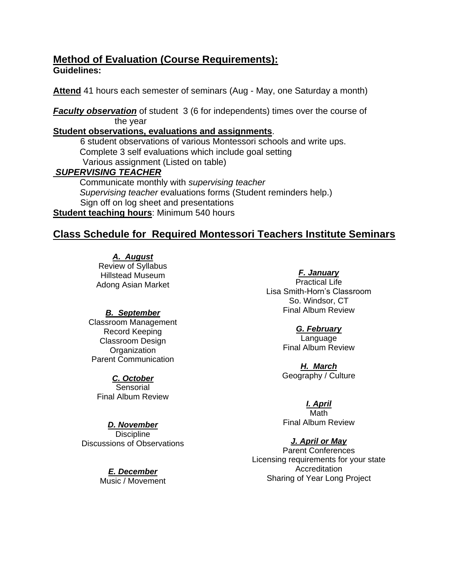# **Method of Evaluation (Course Requirements): Guidelines:**

**Attend** 41 hours each semester of seminars (Aug - May, one Saturday a month)

**Faculty observation** of student 3 (6 for independents) times over the course of the year

# **Student observations, evaluations and assignments**.

 6 student observations of various Montessori schools and write ups. Complete 3 self evaluations which include goal setting Various assignment (Listed on table)

# *SUPERVISING TEACHER*

Communicate monthly with *supervising teacher Supervising teacher* evaluations forms (Student reminders help.) Sign off on log sheet and presentations **Student teaching hours**: Minimum 540 hours

# **Class Schedule for Required Montessori Teachers Institute Seminars**

*A. August* Review of Syllabus Hillstead Museum Adong Asian Market

# *B. September*

Classroom Management Record Keeping Classroom Design **Organization** Parent Communication

*C. October*  Sensorial Final Album Review

# *D. November*

**Discipline** Discussions of Observations

> *E. December*  Music / Movement

*F. January*  Practical Life Lisa Smith-Horn's Classroom So. Windsor, CT Final Album Review

# *G. February*

Language Final Album Review

*H. March*  Geography / Culture

# *I. April*

Math Final Album Review

# *J. April or May*

Parent Conferences Licensing requirements for your state **Accreditation** Sharing of Year Long Project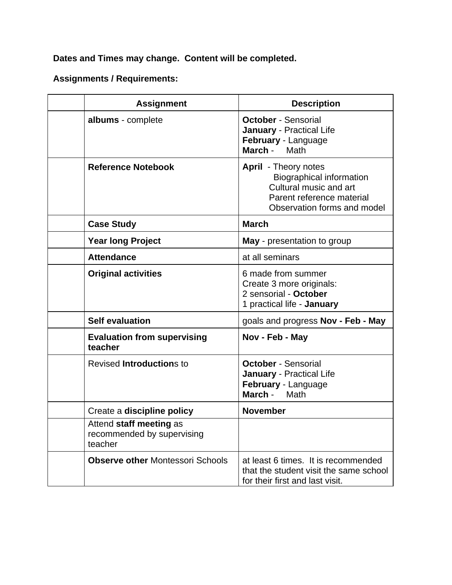**Dates and Times may change. Content will be completed.**

# **Assignments / Requirements:**

| <b>Assignment</b>                                                | <b>Description</b>                                                                                                                                   |  |
|------------------------------------------------------------------|------------------------------------------------------------------------------------------------------------------------------------------------------|--|
| albums - complete                                                | <b>October - Sensorial</b><br><b>January - Practical Life</b><br>February - Language<br>March - Math                                                 |  |
| <b>Reference Notebook</b>                                        | <b>April</b> - Theory notes<br><b>Biographical information</b><br>Cultural music and art<br>Parent reference material<br>Observation forms and model |  |
| <b>Case Study</b>                                                | <b>March</b>                                                                                                                                         |  |
| <b>Year long Project</b>                                         | <b>May</b> - presentation to group                                                                                                                   |  |
| <b>Attendance</b>                                                | at all seminars                                                                                                                                      |  |
| <b>Original activities</b>                                       | 6 made from summer<br>Create 3 more originals:<br>2 sensorial - October<br>1 practical life - January                                                |  |
| <b>Self evaluation</b>                                           | goals and progress Nov - Feb - May                                                                                                                   |  |
| <b>Evaluation from supervising</b><br>teacher                    | Nov - Feb - May                                                                                                                                      |  |
| <b>Revised Introductions to</b>                                  | <b>October - Sensorial</b><br><b>January - Practical Life</b><br>February - Language<br>March - Math                                                 |  |
| Create a discipline policy                                       | <b>November</b>                                                                                                                                      |  |
| Attend staff meeting as<br>recommended by supervising<br>teacher |                                                                                                                                                      |  |
| <b>Observe other Montessori Schools</b>                          | at least 6 times. It is recommended<br>that the student visit the same school<br>for their first and last visit.                                     |  |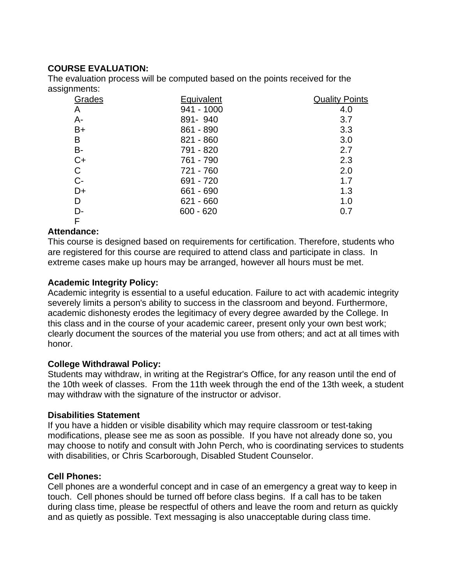# **COURSE EVALUATION:**

The evaluation process will be computed based on the points received for the assignments:

| Grades | Equivalent  | <b>Quality Points</b> |
|--------|-------------|-----------------------|
| Α      | 941 - 1000  | 4.0                   |
| $A -$  | 891-940     | 3.7                   |
| $B+$   | 861 - 890   | 3.3                   |
| B      | $821 - 860$ | 3.0                   |
| B-     | 791 - 820   | 2.7                   |
| $C+$   | 761 - 790   | 2.3                   |
| C      | 721 - 760   | 2.0                   |
| $C-$   | 691 - 720   | 1.7                   |
| D+     | 661 - 690   | 1.3                   |
| D      | $621 - 660$ | 1.0                   |
| D-     | $600 - 620$ | 0.7                   |
| F      |             |                       |

# **Attendance:**

This course is designed based on requirements for certification. Therefore, students who are registered for this course are required to attend class and participate in class. In extreme cases make up hours may be arranged, however all hours must be met.

# **Academic Integrity Policy:**

Academic integrity is essential to a useful education. Failure to act with academic integrity severely limits a person's ability to success in the classroom and beyond. Furthermore, academic dishonesty erodes the legitimacy of every degree awarded by the College. In this class and in the course of your academic career, present only your own best work; clearly document the sources of the material you use from others; and act at all times with honor.

# **College Withdrawal Policy:**

Students may withdraw, in writing at the Registrar's Office, for any reason until the end of the 10th week of classes. From the 11th week through the end of the 13th week, a student may withdraw with the signature of the instructor or advisor.

# **Disabilities Statement**

If you have a hidden or visible disability which may require classroom or test-taking modifications, please see me as soon as possible. If you have not already done so, you may choose to notify and consult with John Perch, who is coordinating services to students with disabilities, or Chris Scarborough, Disabled Student Counselor.

# **Cell Phones:**

Cell phones are a wonderful concept and in case of an emergency a great way to keep in touch. Cell phones should be turned off before class begins. If a call has to be taken during class time, please be respectful of others and leave the room and return as quickly and as quietly as possible. Text messaging is also unacceptable during class time.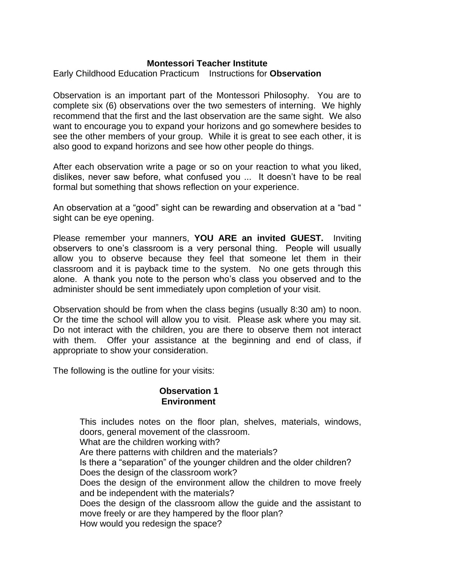# **Montessori Teacher Institute**

Early Childhood Education Practicum Instructions for **Observation**

Observation is an important part of the Montessori Philosophy. You are to complete six (6) observations over the two semesters of interning. We highly recommend that the first and the last observation are the same sight. We also want to encourage you to expand your horizons and go somewhere besides to see the other members of your group. While it is great to see each other, it is also good to expand horizons and see how other people do things.

After each observation write a page or so on your reaction to what you liked, dislikes, never saw before, what confused you ... It doesn't have to be real formal but something that shows reflection on your experience.

An observation at a "good" sight can be rewarding and observation at a "bad " sight can be eye opening.

Please remember your manners, **YOU ARE an invited GUEST.** Inviting observers to one's classroom is a very personal thing. People will usually allow you to observe because they feel that someone let them in their classroom and it is payback time to the system. No one gets through this alone. A thank you note to the person who's class you observed and to the administer should be sent immediately upon completion of your visit.

Observation should be from when the class begins (usually 8:30 am) to noon. Or the time the school will allow you to visit. Please ask where you may sit. Do not interact with the children, you are there to observe them not interact with them. Offer your assistance at the beginning and end of class, if appropriate to show your consideration.

The following is the outline for your visits:

#### **Observation 1 Environment**

This includes notes on the floor plan, shelves, materials, windows, doors, general movement of the classroom. What are the children working with? Are there patterns with children and the materials? Is there a "separation" of the younger children and the older children? Does the design of the classroom work? Does the design of the environment allow the children to move freely and be independent with the materials? Does the design of the classroom allow the guide and the assistant to move freely or are they hampered by the floor plan? How would you redesign the space?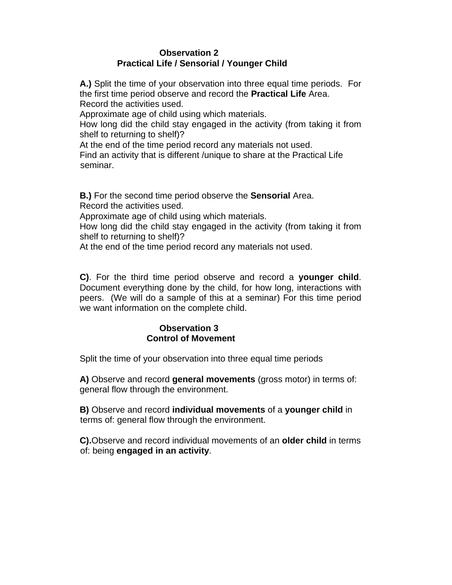# **Observation 2 Practical Life / Sensorial / Younger Child**

**A.)** Split the time of your observation into three equal time periods. For the first time period observe and record the **Practical Life** Area. Record the activities used.

Approximate age of child using which materials.

How long did the child stay engaged in the activity (from taking it from shelf to returning to shelf)?

At the end of the time period record any materials not used.

Find an activity that is different /unique to share at the Practical Life seminar.

**B.)** For the second time period observe the **Sensorial** Area. Record the activities used.

Approximate age of child using which materials.

How long did the child stay engaged in the activity (from taking it from shelf to returning to shelf)?

At the end of the time period record any materials not used.

**C)**. For the third time period observe and record a **younger child**. Document everything done by the child, for how long, interactions with peers. (We will do a sample of this at a seminar) For this time period we want information on the complete child.

# **Observation 3 Control of Movement**

Split the time of your observation into three equal time periods

**A)** Observe and record **general movements** (gross motor) in terms of: general flow through the environment.

**B)** Observe and record **individual movements** of a **younger child** in terms of: general flow through the environment.

**C).**Observe and record individual movements of an **older child** in terms of: being **engaged in an activity**.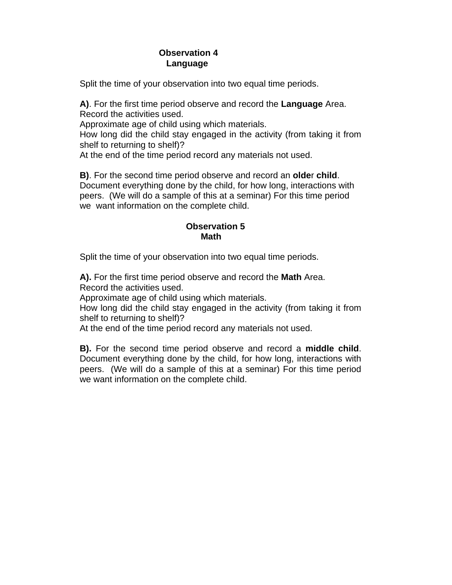# **Observation 4 Language**

Split the time of your observation into two equal time periods.

**A)**. For the first time period observe and record the **Language** Area. Record the activities used.

Approximate age of child using which materials.

How long did the child stay engaged in the activity (from taking it from shelf to returning to shelf)?

At the end of the time period record any materials not used.

**B)**. For the second time period observe and record an **olde**r **child**. Document everything done by the child, for how long, interactions with peers. (We will do a sample of this at a seminar) For this time period we want information on the complete child.

# **Observation 5 Math Math**

Split the time of your observation into two equal time periods.

**A).** For the first time period observe and record the **Math** Area. Record the activities used.

Approximate age of child using which materials.

How long did the child stay engaged in the activity (from taking it from shelf to returning to shelf)?

At the end of the time period record any materials not used.

**B).** For the second time period observe and record a **middle child**. Document everything done by the child, for how long, interactions with peers. (We will do a sample of this at a seminar) For this time period we want information on the complete child.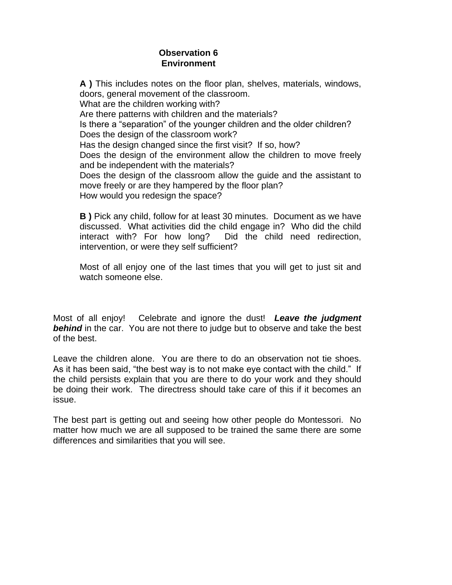# **Observation 6 Environment**

**A )** This includes notes on the floor plan, shelves, materials, windows, doors, general movement of the classroom. What are the children working with? Are there patterns with children and the materials? Is there a "separation" of the younger children and the older children? Does the design of the classroom work? Has the design changed since the first visit? If so, how? Does the design of the environment allow the children to move freely and be independent with the materials? Does the design of the classroom allow the guide and the assistant to move freely or are they hampered by the floor plan? How would you redesign the space?

**B )** Pick any child, follow for at least 30 minutes. Document as we have discussed. What activities did the child engage in? Who did the child interact with? For how long? Did the child need redirection, intervention, or were they self sufficient?

Most of all enjoy one of the last times that you will get to just sit and watch someone else.

Most of all enjoy! Celebrate and ignore the dust! *Leave the judgment*  **behind** in the car. You are not there to judge but to observe and take the best of the best.

Leave the children alone. You are there to do an observation not tie shoes. As it has been said, "the best way is to not make eye contact with the child." If the child persists explain that you are there to do your work and they should be doing their work. The directress should take care of this if it becomes an issue.

The best part is getting out and seeing how other people do Montessori. No matter how much we are all supposed to be trained the same there are some differences and similarities that you will see.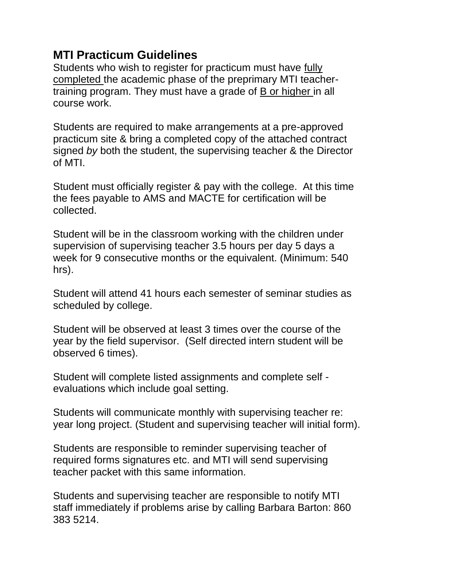# **MTI Practicum Guidelines**

Students who wish to register for practicum must have fully completed the academic phase of the preprimary MTI teachertraining program. They must have a grade of B or higher in all course work.

Students are required to make arrangements at a pre-approved practicum site & bring a completed copy of the attached contract signed *by* both the student, the supervising teacher & the Director of MTI.

Student must officially register & pay with the college. At this time the fees payable to AMS and MACTE for certification will be collected.

Student will be in the classroom working with the children under supervision of supervising teacher 3.5 hours per day 5 days a week for 9 consecutive months or the equivalent. (Minimum: 540 hrs).

Student will attend 41 hours each semester of seminar studies as scheduled by college.

Student will be observed at least 3 times over the course of the year by the field supervisor. (Self directed intern student will be observed 6 times).

Student will complete listed assignments and complete self evaluations which include goal setting.

Students will communicate monthly with supervising teacher re: year long project. (Student and supervising teacher will initial form).

Students are responsible to reminder supervising teacher of required forms signatures etc. and MTI will send supervising teacher packet with this same information.

Students and supervising teacher are responsible to notify MTI staff immediately if problems arise by calling Barbara Barton: 860 383 5214.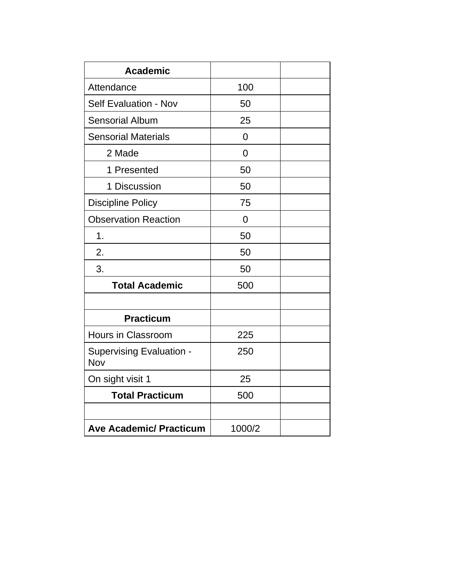| <b>Academic</b>                        |                |  |
|----------------------------------------|----------------|--|
| Attendance                             | 100            |  |
| <b>Self Evaluation - Nov</b>           | 50             |  |
| <b>Sensorial Album</b>                 | 25             |  |
| <b>Sensorial Materials</b>             | $\overline{0}$ |  |
| 2 Made                                 | $\overline{0}$ |  |
| 1 Presented                            | 50             |  |
| 1 Discussion                           | 50             |  |
| <b>Discipline Policy</b>               | 75             |  |
| <b>Observation Reaction</b>            | $\overline{0}$ |  |
| 1.                                     | 50             |  |
| 2.                                     | 50             |  |
| 3.                                     | 50             |  |
| <b>Total Academic</b>                  | 500            |  |
|                                        |                |  |
| <b>Practicum</b>                       |                |  |
| <b>Hours in Classroom</b>              | 225            |  |
| <b>Supervising Evaluation -</b><br>Nov | 250            |  |
| On sight visit 1                       | 25             |  |
| <b>Total Practicum</b>                 | 500            |  |
|                                        |                |  |
| <b>Ave Academic/ Practicum</b>         | 1000/2         |  |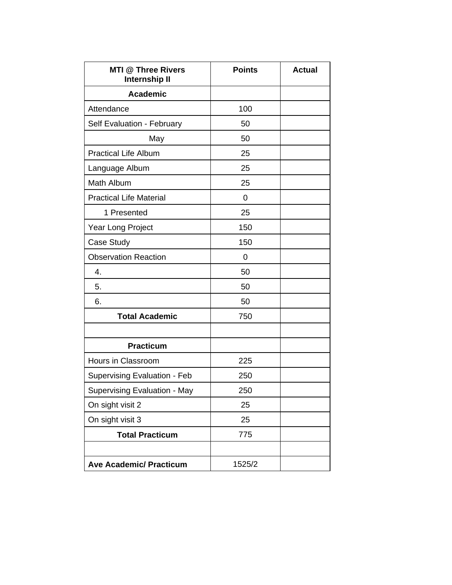| <b>MTI @ Three Rivers</b><br><b>Internship II</b> | <b>Points</b> | <b>Actual</b> |
|---------------------------------------------------|---------------|---------------|
| <b>Academic</b>                                   |               |               |
| Attendance                                        | 100           |               |
| Self Evaluation - February                        | 50            |               |
| May                                               | 50            |               |
| <b>Practical Life Album</b>                       | 25            |               |
| Language Album                                    | 25            |               |
| Math Album                                        | 25            |               |
| <b>Practical Life Material</b>                    | 0             |               |
| 1 Presented                                       | 25            |               |
| Year Long Project                                 | 150           |               |
| Case Study                                        | 150           |               |
| <b>Observation Reaction</b>                       | 0             |               |
| 4.                                                | 50            |               |
| 5.                                                | 50            |               |
| 6.                                                | 50            |               |
| <b>Total Academic</b>                             | 750           |               |
|                                                   |               |               |
| <b>Practicum</b>                                  |               |               |
| <b>Hours in Classroom</b>                         | 225           |               |
| <b>Supervising Evaluation - Feb</b>               | 250           |               |
| <b>Supervising Evaluation - May</b>               | 250           |               |
| On sight visit 2                                  | 25            |               |
| On sight visit 3                                  | 25            |               |
| <b>Total Practicum</b>                            | 775           |               |
|                                                   |               |               |
| <b>Ave Academic/ Practicum</b>                    | 1525/2        |               |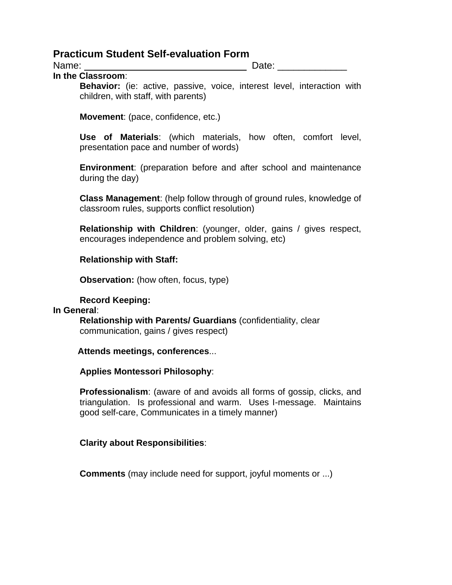# **Practicum Student Self-evaluation Form**

Name:  $\Box$  Date:  $\Box$ 

**In the Classroom**:

**Behavior:** (ie: active, passive, voice, interest level, interaction with children, with staff, with parents)

**Movement**: (pace, confidence, etc.)

**Use of Materials**: (which materials, how often, comfort level, presentation pace and number of words)

**Environment**: (preparation before and after school and maintenance during the day)

**Class Management**: (help follow through of ground rules, knowledge of classroom rules, supports conflict resolution)

**Relationship with Children**: (younger, older, gains / gives respect, encourages independence and problem solving, etc)

# **Relationship with Staff:**

**Observation:** (how often, focus, type)

# **Record Keeping:**

**In General**: **Relationship with Parents/ Guardians** (confidentiality, clear communication, gains / gives respect)

# **Attends meetings, conferences**...

# **Applies Montessori Philosophy**:

**Professionalism**: (aware of and avoids all forms of gossip, clicks, and triangulation. Is professional and warm. Uses I-message. Maintains good self-care, Communicates in a timely manner)

# **Clarity about Responsibilities**:

**Comments** (may include need for support, joyful moments or ...)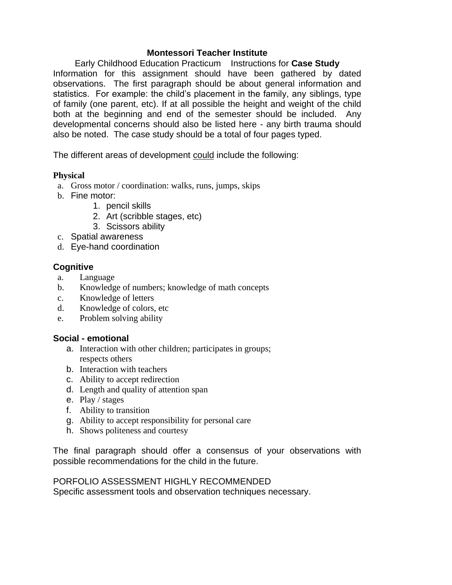#### **Montessori Teacher Institute**

Early Childhood Education Practicum Instructions for **Case Study** Information for this assignment should have been gathered by dated observations. The first paragraph should be about general information and statistics. For example: the child's placement in the family, any siblings, type of family (one parent, etc). If at all possible the height and weight of the child both at the beginning and end of the semester should be included. Any developmental concerns should also be listed here - any birth trauma should also be noted. The case study should be a total of four pages typed.

The different areas of development could include the following:

#### **Physical**

- a. Gross motor / coordination: walks, runs, jumps, skips
- b. Fine motor:
	- 1. pencil skills
	- 2. Art (scribble stages, etc)
	- 3. Scissors ability
- c. Spatial awareness
- d. Eye-hand coordination

# **Cognitive**

- a. Language
- b. Knowledge of numbers; knowledge of math concepts
- c. Knowledge of letters
- d. Knowledge of colors, etc
- e. Problem solving ability

#### **Social - emotional**

- a. Interaction with other children; participates in groups; respects others
- b. Interaction with teachers
- c. Ability to accept redirection
- d. Length and quality of attention span
- e. Play / stages
- f. Ability to transition
- g. Ability to accept responsibility for personal care
- h. Shows politeness and courtesy

The final paragraph should offer a consensus of your observations with possible recommendations for the child in the future.

PORFOLIO ASSESSMENT HIGHLY RECOMMENDED Specific assessment tools and observation techniques necessary.